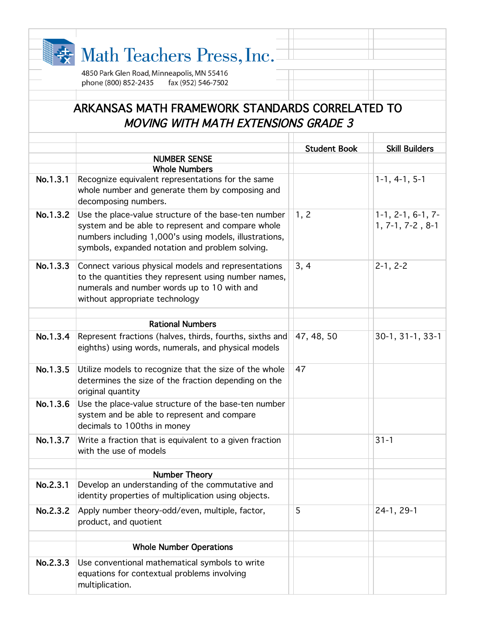|          | Math Teachers Press, Inc.                                                                                                                                                                                              |                     |                                           |
|----------|------------------------------------------------------------------------------------------------------------------------------------------------------------------------------------------------------------------------|---------------------|-------------------------------------------|
|          | 4850 Park Glen Road, Minneapolis, MN 55416<br>phone (800) 852-2435<br>fax (952) 546-7502                                                                                                                               |                     |                                           |
|          | ARKANSAS MATH FRAMEWORK STANDARDS CORRELATED TO<br><b>MOVING WITH MATH EXTENSIONS GRADE 3</b>                                                                                                                          |                     |                                           |
|          |                                                                                                                                                                                                                        | <b>Student Book</b> | <b>Skill Builders</b>                     |
|          | <b>NUMBER SENSE</b>                                                                                                                                                                                                    |                     |                                           |
|          | <b>Whole Numbers</b>                                                                                                                                                                                                   |                     |                                           |
| No.1.3.1 | Recognize equivalent representations for the same<br>whole number and generate them by composing and<br>decomposing numbers.                                                                                           |                     | $1-1, 4-1, 5-1$                           |
| No.1.3.2 | Use the place-value structure of the base-ten number<br>system and be able to represent and compare whole<br>numbers including 1,000's using models, illustrations,<br>symbols, expanded notation and problem solving. | 1, 2                | $1-1, 2-1, 6-1, 7-$<br>$1, 7-1, 7-2, 8-1$ |
| No.1.3.3 | Connect various physical models and representations<br>to the quantities they represent using number names,<br>numerals and number words up to 10 with and<br>without appropriate technology                           | 3, 4                | $2-1, 2-2$                                |
|          | <b>Rational Numbers</b>                                                                                                                                                                                                |                     |                                           |
| No.1.3.4 | Represent fractions (halves, thirds, fourths, sixths and<br>eighths) using words, numerals, and physical models                                                                                                        | 47, 48, 50          | $30-1, 31-1, 33-1$                        |
| No.1.3.5 | Utilize models to recognize that the size of the whole<br>determines the size of the fraction depending on the<br>original quantity                                                                                    | 47                  |                                           |
| No.1.3.6 | Use the place-value structure of the base-ten number<br>system and be able to represent and compare<br>decimals to 100ths in money                                                                                     |                     |                                           |
| No.1.3.7 | Write a fraction that is equivalent to a given fraction<br>with the use of models                                                                                                                                      |                     | $31 - 1$                                  |
|          | <b>Number Theory</b>                                                                                                                                                                                                   |                     |                                           |
| No.2.3.1 | Develop an understanding of the commutative and<br>identity properties of multiplication using objects.                                                                                                                |                     |                                           |
| No.2.3.2 | Apply number theory-odd/even, multiple, factor,<br>product, and quotient                                                                                                                                               | 5                   | 24-1, 29-1                                |
|          | <b>Whole Number Operations</b>                                                                                                                                                                                         |                     |                                           |
| No.2.3.3 | Use conventional mathematical symbols to write<br>equations for contextual problems involving<br>multiplication.                                                                                                       |                     |                                           |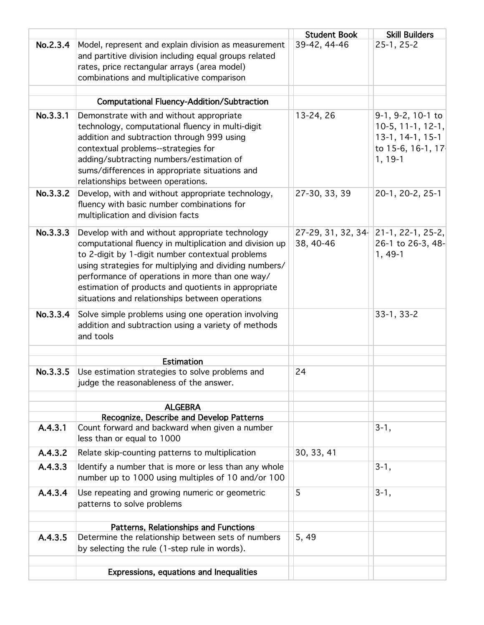|          |                                                                                                                                                                                                                                                                                                                                                                                       | <b>Student Book</b>              | <b>Skill Builders</b>                                                     |
|----------|---------------------------------------------------------------------------------------------------------------------------------------------------------------------------------------------------------------------------------------------------------------------------------------------------------------------------------------------------------------------------------------|----------------------------------|---------------------------------------------------------------------------|
| No.2.3.4 | Model, represent and explain division as measurement<br>and partitive division including equal groups related<br>rates, price rectangular arrays (area model)<br>combinations and multiplicative comparison                                                                                                                                                                           | 39-42, 44-46                     | $25-1, 25-2$                                                              |
|          | <b>Computational Fluency-Addition/Subtraction</b>                                                                                                                                                                                                                                                                                                                                     |                                  |                                                                           |
| No.3.3.1 | Demonstrate with and without appropriate                                                                                                                                                                                                                                                                                                                                              | 13-24, 26                        | 9-1, 9-2, 10-1 to                                                         |
|          | technology, computational fluency in multi-digit<br>addition and subtraction through 999 using<br>contextual problems--strategies for<br>adding/subtracting numbers/estimation of<br>sums/differences in appropriate situations and<br>relationships between operations.                                                                                                              |                                  | $10-5, 11-1, 12-1,$<br>13-1, 14-1, 15-1<br>to 15-6, 16-1, 17<br>$1, 19-1$ |
| No.3.3.2 | Develop, with and without appropriate technology,<br>fluency with basic number combinations for<br>multiplication and division facts                                                                                                                                                                                                                                                  | 27-30, 33, 39                    | 20-1, 20-2, 25-1                                                          |
| No.3.3.3 | Develop with and without appropriate technology<br>computational fluency in multiplication and division up<br>to 2-digit by 1-digit number contextual problems<br>using strategies for multiplying and dividing numbers/<br>performance of operations in more than one way/<br>estimation of products and quotients in appropriate<br>situations and relationships between operations | $27-29, 31, 32, 34$<br>38, 40-46 | $ 21-1, 22-1, 25-2,$<br>26-1 to 26-3, 48-<br>$1, 49-1$                    |
| No.3.3.4 | Solve simple problems using one operation involving<br>addition and subtraction using a variety of methods<br>and tools                                                                                                                                                                                                                                                               |                                  | $33-1, 33-2$                                                              |
|          | <b>Estimation</b>                                                                                                                                                                                                                                                                                                                                                                     |                                  |                                                                           |
| No.3.3.5 | Use estimation strategies to solve problems and<br>judge the reasonableness of the answer.                                                                                                                                                                                                                                                                                            | 24                               |                                                                           |
|          | <b>ALGEBRA</b>                                                                                                                                                                                                                                                                                                                                                                        |                                  |                                                                           |
|          | Recognize, Describe and Develop Patterns                                                                                                                                                                                                                                                                                                                                              |                                  |                                                                           |
| A.4.3.1  | Count forward and backward when given a number<br>less than or equal to 1000                                                                                                                                                                                                                                                                                                          |                                  | $3-1,$                                                                    |
| A.4.3.2  | Relate skip-counting patterns to multiplication                                                                                                                                                                                                                                                                                                                                       | 30, 33, 41                       |                                                                           |
| A.4.3.3  | Identify a number that is more or less than any whole<br>number up to 1000 using multiples of 10 and/or 100                                                                                                                                                                                                                                                                           |                                  | $3-1,$                                                                    |
| A.4.3.4  | Use repeating and growing numeric or geometric<br>patterns to solve problems                                                                                                                                                                                                                                                                                                          | 5                                | $3-1,$                                                                    |
| A.4.3.5  | Patterns, Relationships and Functions<br>Determine the relationship between sets of numbers<br>by selecting the rule (1-step rule in words).                                                                                                                                                                                                                                          | 5, 49                            |                                                                           |
|          | Expressions, equations and Inequalities                                                                                                                                                                                                                                                                                                                                               |                                  |                                                                           |
|          |                                                                                                                                                                                                                                                                                                                                                                                       |                                  |                                                                           |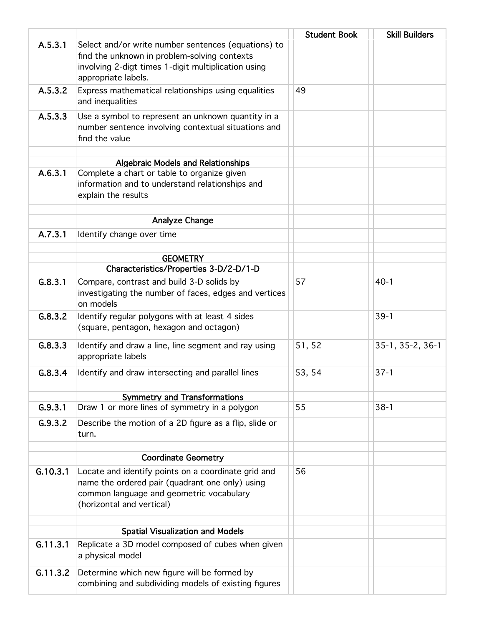|          |                                                                                                                                                                                   | <b>Student Book</b> | <b>Skill Builders</b> |
|----------|-----------------------------------------------------------------------------------------------------------------------------------------------------------------------------------|---------------------|-----------------------|
| A.5.3.1  | Select and/or write number sentences (equations) to<br>find the unknown in problem-solving contexts<br>involving 2-digt times 1-digit multiplication using<br>appropriate labels. |                     |                       |
| A.5.3.2  | Express mathematical relationships using equalities<br>and inequalities                                                                                                           | 49                  |                       |
| A.5.3.3  | Use a symbol to represent an unknown quantity in a<br>number sentence involving contextual situations and<br>find the value                                                       |                     |                       |
|          | <b>Algebraic Models and Relationships</b>                                                                                                                                         |                     |                       |
| A.6.3.1  | Complete a chart or table to organize given<br>information and to understand relationships and<br>explain the results                                                             |                     |                       |
|          | <b>Analyze Change</b>                                                                                                                                                             |                     |                       |
| A.7.3.1  | Identify change over time                                                                                                                                                         |                     |                       |
|          |                                                                                                                                                                                   |                     |                       |
|          | <b>GEOMETRY</b>                                                                                                                                                                   |                     |                       |
|          | Characteristics/Properties 3-D/2-D/1-D                                                                                                                                            |                     |                       |
| G.8.3.1  | Compare, contrast and build 3-D solids by<br>investigating the number of faces, edges and vertices<br>on models                                                                   | 57                  | $40-1$                |
| G.8.3.2  | Identify regular polygons with at least 4 sides<br>(square, pentagon, hexagon and octagon)                                                                                        |                     | $39-1$                |
| G.8.3.3  | Identify and draw a line, line segment and ray using<br>appropriate labels                                                                                                        | 51, 52              | 35-1, 35-2, 36-1      |
| G.8.3.4  | Identify and draw intersecting and parallel lines                                                                                                                                 | 53, 54              | $37 - 1$              |
|          | <b>Symmetry and Transformations</b>                                                                                                                                               |                     |                       |
| G.9.3.1  | Draw 1 or more lines of symmetry in a polygon                                                                                                                                     | 55                  | $38-1$                |
| G.9.3.2  | Describe the motion of a 2D figure as a flip, slide or<br>turn.                                                                                                                   |                     |                       |
|          | <b>Coordinate Geometry</b>                                                                                                                                                        |                     |                       |
| G.10.3.1 | Locate and identify points on a coordinate grid and<br>name the ordered pair (quadrant one only) using<br>common language and geometric vocabulary<br>(horizontal and vertical)   | 56                  |                       |
|          | <b>Spatial Visualization and Models</b>                                                                                                                                           |                     |                       |
| G.11.3.1 | Replicate a 3D model composed of cubes when given<br>a physical model                                                                                                             |                     |                       |
| G.11.3.2 | Determine which new figure will be formed by<br>combining and subdividing models of existing figures                                                                              |                     |                       |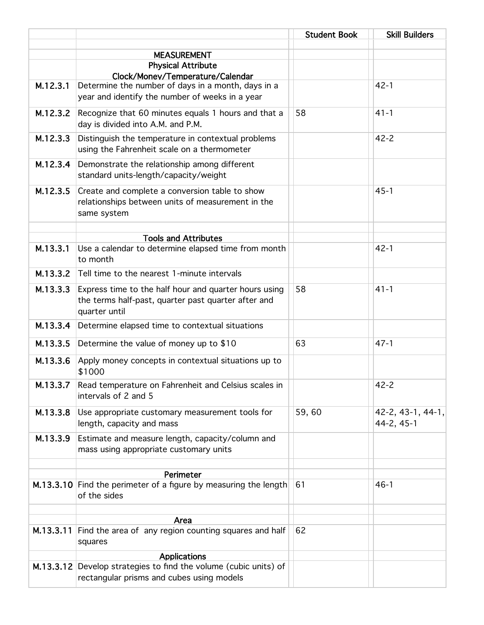|           |                                                                  | <b>Student Book</b> | <b>Skill Builders</b> |
|-----------|------------------------------------------------------------------|---------------------|-----------------------|
|           | <b>MEASUREMENT</b>                                               |                     |                       |
|           | <b>Physical Attribute</b>                                        |                     |                       |
|           | Clock/Money/Temperature/Calendar                                 |                     |                       |
| M.12.3.1  | Determine the number of days in a month, days in a               |                     | $42 - 1$              |
|           | year and identify the number of weeks in a year                  |                     |                       |
| M.12.3.2  | Recognize that 60 minutes equals 1 hours and that a              | 58                  | $41 - 1$              |
|           | day is divided into A.M. and P.M.                                |                     |                       |
| M.12.3.3  | Distinguish the temperature in contextual problems               |                     | $42 - 2$              |
|           | using the Fahrenheit scale on a thermometer                      |                     |                       |
| M.12.3.4  | Demonstrate the relationship among different                     |                     |                       |
|           | standard units-length/capacity/weight                            |                     |                       |
| M.12.3.5  | Create and complete a conversion table to show                   |                     | $45 - 1$              |
|           | relationships between units of measurement in the                |                     |                       |
|           | same system                                                      |                     |                       |
|           |                                                                  |                     |                       |
|           | <b>Tools and Attributes</b>                                      |                     |                       |
| M.13.3.1  | Use a calendar to determine elapsed time from month              |                     | $42 - 1$              |
|           | to month                                                         |                     |                       |
| M.13.3.2  | Tell time to the nearest 1-minute intervals                      |                     |                       |
| M.13.3.3  | Express time to the half hour and quarter hours using            | 58                  | $41 - 1$              |
|           | the terms half-past, quarter past quarter after and              |                     |                       |
|           | quarter until                                                    |                     |                       |
| M.13.3.4  | Determine elapsed time to contextual situations                  |                     |                       |
| M.13.3.5  | Determine the value of money up to \$10                          | 63                  | $47 - 1$              |
| M.13.3.6  | Apply money concepts in contextual situations up to              |                     |                       |
|           | \$1000                                                           |                     |                       |
| M.13.3.7  | Read temperature on Fahrenheit and Celsius scales in             |                     | 42-2                  |
|           | intervals of 2 and 5                                             |                     |                       |
| M.13.3.8  | Use appropriate customary measurement tools for                  | 59,60               | 42-2, 43-1, 44-1,     |
|           | length, capacity and mass                                        |                     | 44-2, 45-1            |
| M.13.3.9  | Estimate and measure length, capacity/column and                 |                     |                       |
|           | mass using appropriate customary units                           |                     |                       |
|           |                                                                  |                     |                       |
|           | Perimeter                                                        |                     |                       |
|           | M.13.3.10 Find the perimeter of a figure by measuring the length | 61                  | $46 - 1$              |
|           | of the sides                                                     |                     |                       |
|           |                                                                  |                     |                       |
| M.13.3.11 | Area<br>Find the area of any region counting squares and half    | 62                  |                       |
|           | squares                                                          |                     |                       |
|           | <b>Applications</b>                                              |                     |                       |
|           | M.13.3.12 Develop strategies to find the volume (cubic units) of |                     |                       |
|           | rectangular prisms and cubes using models                        |                     |                       |
|           |                                                                  |                     |                       |